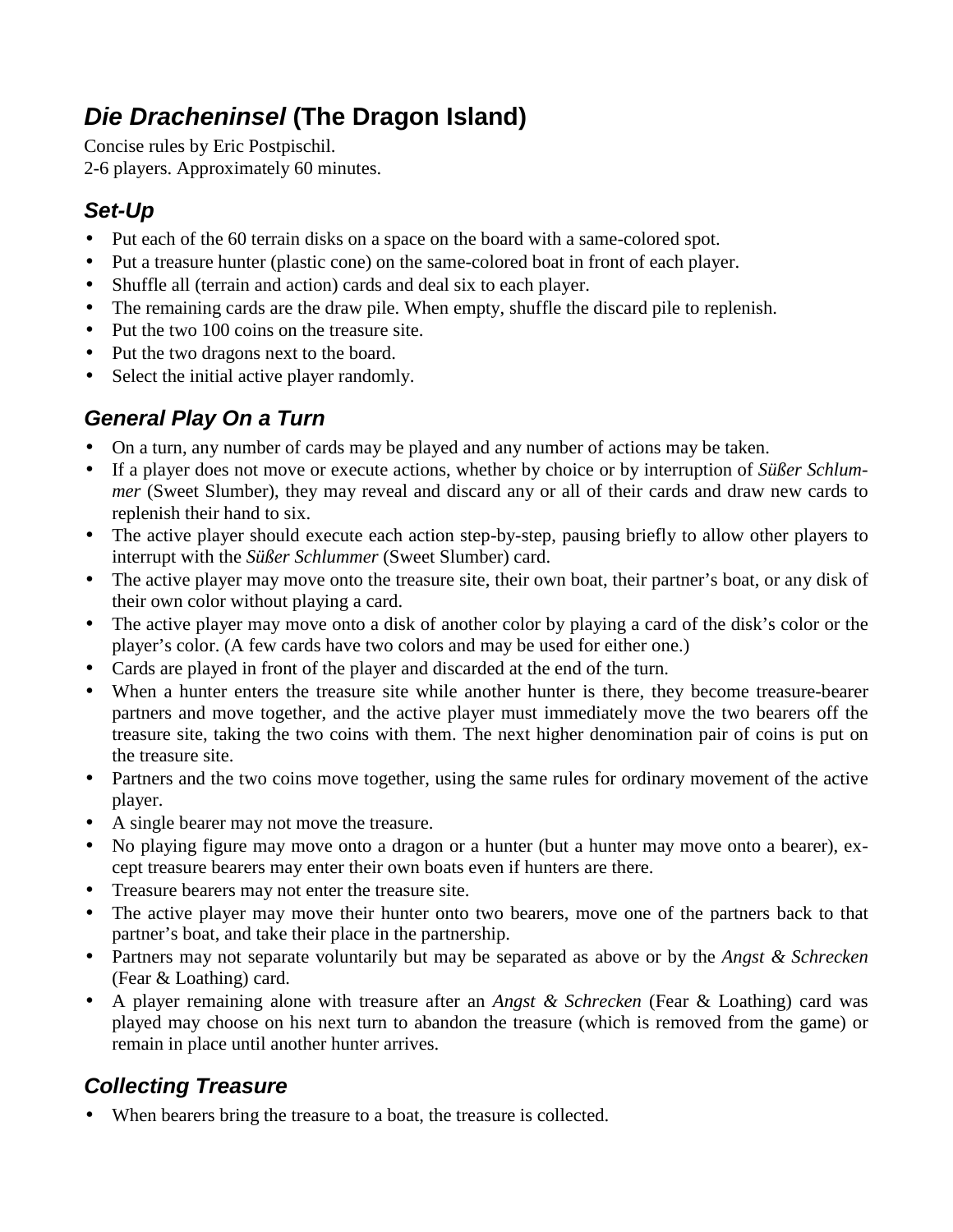# **Die Dracheninsel (The Dragon Island)**

Concise rules by Eric Postpischil. 2-6 players. Approximately 60 minutes.

### **Set-Up**

- Put each of the 60 terrain disks on a space on the board with a same-colored spot.
- Put a treasure hunter (plastic cone) on the same-colored boat in front of each player.
- Shuffle all (terrain and action) cards and deal six to each player.
- The remaining cards are the draw pile. When empty, shuffle the discard pile to replenish.
- Put the two 100 coins on the treasure site.
- Put the two dragons next to the board.
- Select the initial active player randomly.

# **General Play On a Turn**

- On a turn, any number of cards may be played and any number of actions may be taken.
- If a player does not move or execute actions, whether by choice or by interruption of *Süßer Schlummer* (Sweet Slumber), they may reveal and discard any or all of their cards and draw new cards to replenish their hand to six.
- The active player should execute each action step-by-step, pausing briefly to allow other players to interrupt with the *Süßer Schlummer* (Sweet Slumber) card.
- The active player may move onto the treasure site, their own boat, their partner's boat, or any disk of their own color without playing a card.
- The active player may move onto a disk of another color by playing a card of the disk's color or the player's color. (A few cards have two colors and may be used for either one.)
- Cards are played in front of the player and discarded at the end of the turn.
- When a hunter enters the treasure site while another hunter is there, they become treasure-bearer partners and move together, and the active player must immediately move the two bearers off the treasure site, taking the two coins with them. The next higher denomination pair of coins is put on the treasure site.
- Partners and the two coins move together, using the same rules for ordinary movement of the active player.
- A single bearer may not move the treasure.
- No playing figure may move onto a dragon or a hunter (but a hunter may move onto a bearer), except treasure bearers may enter their own boats even if hunters are there.
- Treasure bearers may not enter the treasure site.
- The active player may move their hunter onto two bearers, move one of the partners back to that partner's boat, and take their place in the partnership.
- Partners may not separate voluntarily but may be separated as above or by the *Angst & Schrecken* (Fear & Loathing) card.
- A player remaining alone with treasure after an *Angst & Schrecken* (Fear & Loathing) card was played may choose on his next turn to abandon the treasure (which is removed from the game) or remain in place until another hunter arrives.

# **Collecting Treasure**

• When bearers bring the treasure to a boat, the treasure is collected.